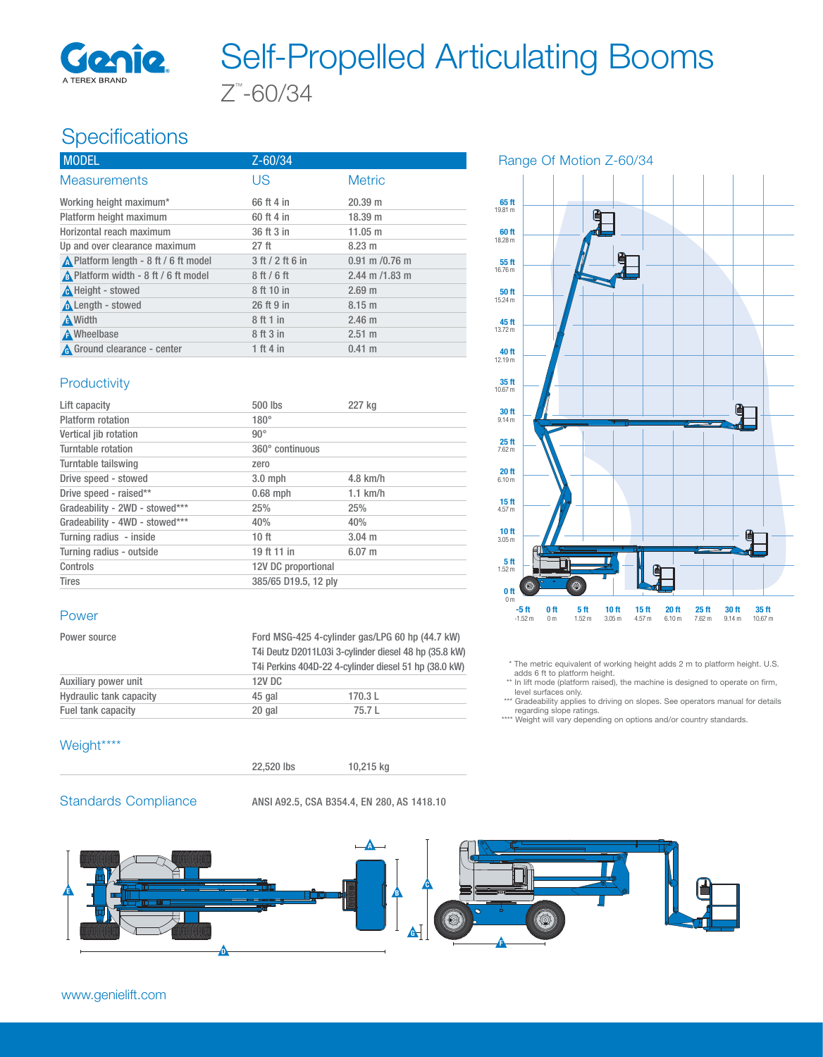

# Z™ -60/34 Self-Propelled Articulating Booms

# Specifications

| <b>MODEL</b>                          | $Z - 60/34$      |                    |
|---------------------------------------|------------------|--------------------|
| <b>Measurements</b>                   | US               | <b>Metric</b>      |
| Working height maximum*               | 66 ft 4 in       | 20.39 m            |
| Platform height maximum               | 60 ft 4 in       | 18.39 m            |
| Horizontal reach maximum              | 36 ft 3 in       | 11.05 m            |
| Up and over clearance maximum         | 27 <sub>ft</sub> | 8.23 m             |
| ∧ Platform length - 8 ft / 6 ft model | 3 ft / 2 ft 6 in | $0.91$ m $/0.76$ m |
| A Platform width - 8 ft / 6 ft model  | 8ft/6ft          | $2.44$ m $/1.83$ m |
| A Height - stowed                     | 8 ft 10 in       | 2.69 m             |
| Length - stowed                       | 26 ft 9 in       | $8.15 \text{ m}$   |
| <b>A</b> Width                        | 8 ft 1 in        | 2.46 <sub>m</sub>  |
| A Wheelbase                           | 8 ft 3 in        | $2.51 \text{ m}$   |
| A Ground clearance - center           | 1 ft 4 in        | $0.41 \; m$        |

#### Productivity

| Lift capacity                  | 500 lbs              | 227 kg      |  |
|--------------------------------|----------------------|-------------|--|
| Platform rotation              | $180^\circ$          |             |  |
| Vertical jib rotation          | $90^{\circ}$         |             |  |
| Turntable rotation             | 360° continuous      |             |  |
| Turntable tailswing            | zero                 |             |  |
| Drive speed - stowed           | $3.0$ mph            | $4.8$ km/h  |  |
| Drive speed - raised**         | $0.68$ mph           | $1.1$ km/h  |  |
| Gradeability - 2WD - stowed*** | 25%                  | 25%         |  |
| Gradeability - 4WD - stowed*** | 40%                  | 40%         |  |
| Turning radius - inside        | 10 <sub>ft</sub>     | $3.04 \; m$ |  |
| Turning radius - outside       | 19 ft 11 in          | $6.07 \; m$ |  |
| Controls                       | 12V DC proportional  |             |  |
| <b>Tires</b>                   | 385/65 D19.5, 12 plv |             |  |

#### Power

| Power source                   | Ford MSG-425 4-cylinder gas/LPG 60 hp (44.7 kW)<br>T4i Deutz D2011L03i 3-cylinder diesel 48 hp (35.8 kW)<br>T4i Perkins 404D-22 4-cylinder diesel 51 hp (38.0 kW) |        |
|--------------------------------|-------------------------------------------------------------------------------------------------------------------------------------------------------------------|--------|
| Auxiliary power unit           | 12V DC                                                                                                                                                            |        |
| <b>Hydraulic tank capacity</b> | 45 gal                                                                                                                                                            | 170.3L |
| Fuel tank capacity             | 20 gal                                                                                                                                                            | 75.7 L |

#### Weight\*\*\*\*



Standards Compliance ANSI A92.5, CSA B354.4, EN 280, AS 1418.10



## Range Of Motion Z-60/34



\* The metric equivalent of working height adds 2 m to platform height. U.S.

adds 6 ft to platform height. \*\* In lift mode (platform raised), the machine is designed to operate on firm, level surfaces only.

\*\*\* Gradeability applies to driving on slopes. See operators manual for details

regarding slope ratings. \*\*\*\* Weight will vary depending on options and/or country standards.

#### www.genielift.com